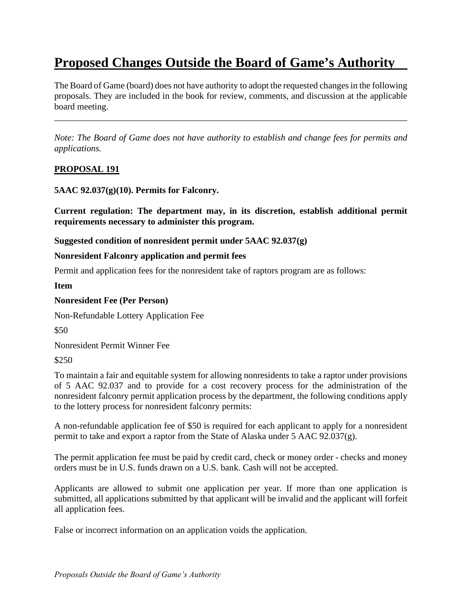# **Proposed Changes Outside the Board of Game's Authority**

The Board of Game (board) does not have authority to adopt the requested changes in the following proposals. They are included in the book for review, comments, and discussion at the applicable board meeting.

\_\_\_\_\_\_\_\_\_\_\_\_\_\_\_\_\_\_\_\_\_\_\_\_\_\_\_\_\_\_\_\_\_\_\_\_\_\_\_\_\_\_\_\_\_\_\_\_\_\_\_\_\_\_\_\_\_\_\_\_\_\_\_\_\_\_\_\_\_\_\_\_\_\_\_\_\_\_

*Note: The Board of Game does not have authority to establish and change fees for permits and applications.* 

# **PROPOSAL 191**

**5AAC 92.037(g)(10). Permits for Falconry.** 

**Current regulation: The department may, in its discretion, establish additional permit requirements necessary to administer this program.** 

**Suggested condition of nonresident permit under 5AAC 92.037(g)** 

#### **Nonresident Falconry application and permit fees**

Permit and application fees for the nonresident take of raptors program are as follows:

**Item** 

#### **Nonresident Fee (Per Person)**

Non-Refundable Lottery Application Fee

\$50

Nonresident Permit Winner Fee

\$250

To maintain a fair and equitable system for allowing nonresidents to take a raptor under provisions of 5 AAC 92.037 and to provide for a cost recovery process for the administration of the nonresident falconry permit application process by the department, the following conditions apply to the lottery process for nonresident falconry permits:

A non-refundable application fee of \$50 is required for each applicant to apply for a nonresident permit to take and export a raptor from the State of Alaska under 5 AAC 92.037(g).

The permit application fee must be paid by credit card, check or money order - checks and money orders must be in U.S. funds drawn on a U.S. bank. Cash will not be accepted.

Applicants are allowed to submit one application per year. If more than one application is submitted, all applications submitted by that applicant will be invalid and the applicant will forfeit all application fees.

False or incorrect information on an application voids the application.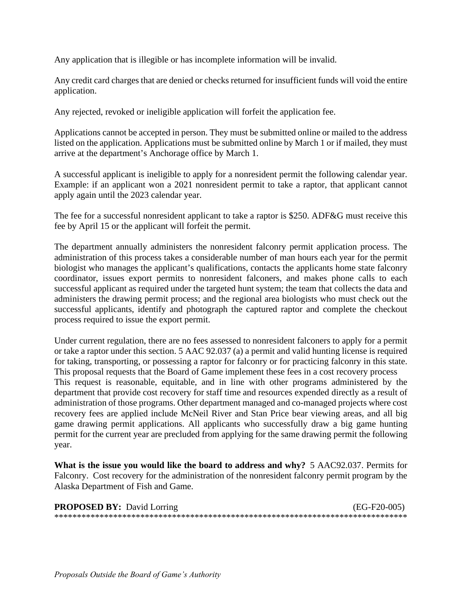Any application that is illegible or has incomplete information will be invalid.

Any credit card charges that are denied or checks returned for insufficient funds will void the entire application.

Any rejected, revoked or ineligible application will forfeit the application fee.

Applications cannot be accepted in person. They must be submitted online or mailed to the address listed on the application. Applications must be submitted online by March 1 or if mailed, they must arrive at the department's Anchorage office by March 1.

A successful applicant is ineligible to apply for a nonresident permit the following calendar year. Example: if an applicant won a 2021 nonresident permit to take a raptor, that applicant cannot apply again until the 2023 calendar year.

The fee for a successful nonresident applicant to take a raptor is \$250. ADF&G must receive this fee by April 15 or the applicant will forfeit the permit.

The department annually administers the nonresident falconry permit application process. The administration of this process takes a considerable number of man hours each year for the permit biologist who manages the applicant's qualifications, contacts the applicants home state falconry coordinator, issues export permits to nonresident falconers, and makes phone calls to each successful applicant as required under the targeted hunt system; the team that collects the data and administers the drawing permit process; and the regional area biologists who must check out the successful applicants, identify and photograph the captured raptor and complete the checkout process required to issue the export permit.

Under current regulation, there are no fees assessed to nonresident falconers to apply for a permit or take a raptor under this section. 5 AAC 92.037 (a) a permit and valid hunting license is required for taking, transporting, or possessing a raptor for falconry or for practicing falconry in this state. This proposal requests that the Board of Game implement these fees in a cost recovery process This request is reasonable, equitable, and in line with other programs administered by the department that provide cost recovery for staff time and resources expended directly as a result of administration of those programs. Other department managed and co-managed projects where cost recovery fees are applied include McNeil River and Stan Price bear viewing areas, and all big game drawing permit applications. All applicants who successfully draw a big game hunting permit for the current year are precluded from applying for the same drawing permit the following year.

**What is the issue you would like the board to address and why?** 5 AAC92.037. Permits for Falconry. Cost recovery for the administration of the nonresident falconry permit program by the Alaska Department of Fish and Game.

| <b>PROPOSED BY:</b> David Lorring | $(EG-F20-005)$ |
|-----------------------------------|----------------|
|                                   |                |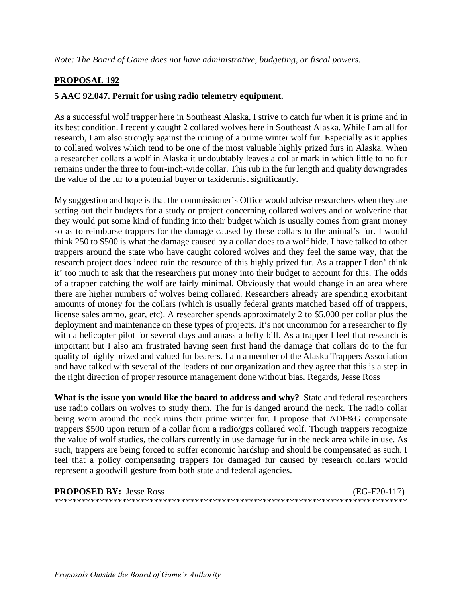# **PROPOSAL 192**

### **5 AAC 92.047. Permit for using radio telemetry equipment.**

As a successful wolf trapper here in Southeast Alaska, I strive to catch fur when it is prime and in its best condition. I recently caught 2 collared wolves here in Southeast Alaska. While I am all for research, I am also strongly against the ruining of a prime winter wolf fur. Especially as it applies to collared wolves which tend to be one of the most valuable highly prized furs in Alaska. When a researcher collars a wolf in Alaska it undoubtably leaves a collar mark in which little to no fur remains under the three to four-inch-wide collar. This rub in the fur length and quality downgrades the value of the fur to a potential buyer or taxidermist significantly.

My suggestion and hope is that the commissioner's Office would advise researchers when they are setting out their budgets for a study or project concerning collared wolves and or wolverine that they would put some kind of funding into their budget which is usually comes from grant money so as to reimburse trappers for the damage caused by these collars to the animal's fur. I would think 250 to \$500 is what the damage caused by a collar does to a wolf hide. I have talked to other trappers around the state who have caught colored wolves and they feel the same way, that the research project does indeed ruin the resource of this highly prized fur. As a trapper I don' think it' too much to ask that the researchers put money into their budget to account for this. The odds of a trapper catching the wolf are fairly minimal. Obviously that would change in an area where there are higher numbers of wolves being collared. Researchers already are spending exorbitant amounts of money for the collars (which is usually federal grants matched based off of trappers, license sales ammo, gear, etc). A researcher spends approximately 2 to \$5,000 per collar plus the deployment and maintenance on these types of projects. It's not uncommon for a researcher to fly with a helicopter pilot for several days and amass a hefty bill. As a trapper I feel that research is important but I also am frustrated having seen first hand the damage that collars do to the fur quality of highly prized and valued fur bearers. I am a member of the Alaska Trappers Association and have talked with several of the leaders of our organization and they agree that this is a step in the right direction of proper resource management done without bias. Regards, Jesse Ross

**What is the issue you would like the board to address and why?** State and federal researchers use radio collars on wolves to study them. The fur is danged around the neck. The radio collar being worn around the neck ruins their prime winter fur. I propose that ADF&G compensate trappers \$500 upon return of a collar from a radio/gps collared wolf. Though trappers recognize the value of wolf studies, the collars currently in use damage fur in the neck area while in use. As such, trappers are being forced to suffer economic hardship and should be compensated as such. I feel that a policy compensating trappers for damaged fur caused by research collars would represent a goodwill gesture from both state and federal agencies.

| <b>PROPOSED BY: Jesse Ross</b> | (EG-F20-117) |
|--------------------------------|--------------|
|                                |              |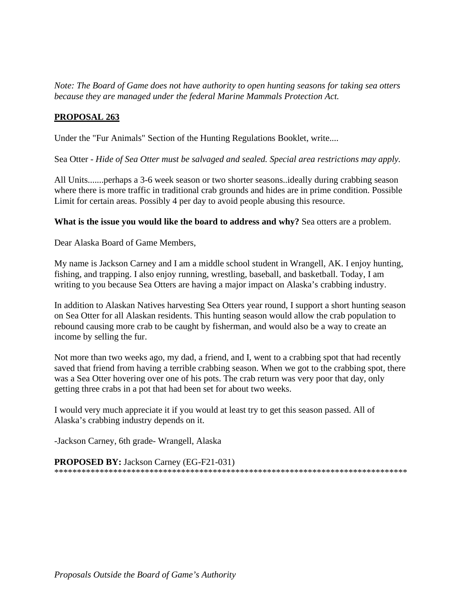*Note: The Board of Game does not have authority to open hunting seasons for taking sea otters because they are managed under the federal Marine Mammals Protection Act.* 

# **PROPOSAL 263**

Under the "Fur Animals" Section of the Hunting Regulations Booklet, write....

Sea Otter - *Hide of Sea Otter must be salvaged and sealed. Special area restrictions may apply.* 

All Units.......perhaps a 3-6 week season or two shorter seasons..ideally during crabbing season where there is more traffic in traditional crab grounds and hides are in prime condition. Possible Limit for certain areas. Possibly 4 per day to avoid people abusing this resource.

**What is the issue you would like the board to address and why?** Sea otters are a problem.

Dear Alaska Board of Game Members,

My name is Jackson Carney and I am a middle school student in Wrangell, AK. I enjoy hunting, fishing, and trapping. I also enjoy running, wrestling, baseball, and basketball. Today, I am writing to you because Sea Otters are having a major impact on Alaska's crabbing industry.

In addition to Alaskan Natives harvesting Sea Otters year round, I support a short hunting season on Sea Otter for all Alaskan residents. This hunting season would allow the crab population to rebound causing more crab to be caught by fisherman, and would also be a way to create an income by selling the fur.

 getting three crabs in a pot that had been set for about two weeks. Not more than two weeks ago, my dad, a friend, and I, went to a crabbing spot that had recently saved that friend from having a terrible crabbing season. When we got to the crabbing spot, there was a Sea Otter hovering over one of his pots. The crab return was very poor that day, only

I would very much appreciate it if you would at least try to get this season passed. All of Alaska's crabbing industry depends on it.

-Jackson Carney, 6th grade- Wrangell, Alaska

**PROPOSED BY:** Jackson Carney (EG-F21-031) \*\*\*\*\*\*\*\*\*\*\*\*\*\*\*\*\*\*\*\*\*\*\*\*\*\*\*\*\*\*\*\*\*\*\*\*\*\*\*\*\*\*\*\*\*\*\*\*\*\*\*\*\*\*\*\*\*\*\*\*\*\*\*\*\*\*\*\*\*\*\*\*\*\*\*\*\*\*